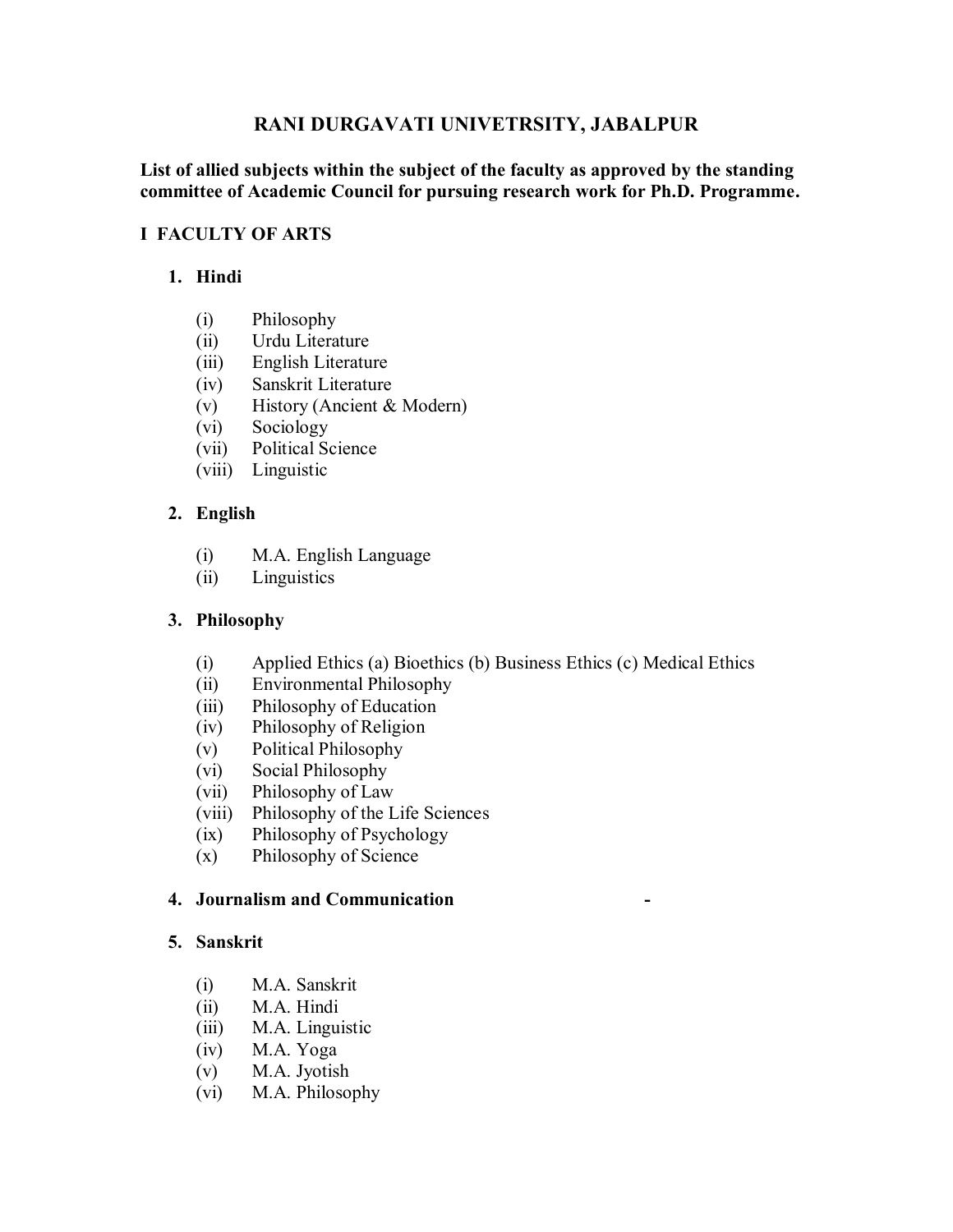# **RANI DURGAVATI UNIVETRSITY, JABALPUR**

#### **List of allied subjects within the subject of the faculty as approved by the standing committee of Academic Council for pursuing research work for Ph.D. Programme.**

#### **I FACULTY OF ARTS**

## **1. Hindi**

- (i) Philosophy
- (ii) Urdu Literature
- (iii) English Literature
- (iv) Sanskrit Literature
- (v) History (Ancient & Modern)
- (vi) Sociology
- (vii) Political Science
- (viii) Linguistic

# **2. English**

- (i) M.A. English Language
- (ii) Linguistics

## **3. Philosophy**

- (i) Applied Ethics (a) Bioethics (b) Business Ethics (c) Medical Ethics
- (ii) Environmental Philosophy
- (iii) Philosophy of Education
- (iv) Philosophy of Religion
- (v) Political Philosophy
- (vi) Social Philosophy
- (vii) Philosophy of Law
- (viii) Philosophy of the Life Sciences
- (ix) Philosophy of Psychology
- (x) Philosophy of Science

## **4. Journalism and Communication -**

#### **5. Sanskrit**

- (i) M.A. Sanskrit
- (ii) M.A. Hindi
- (iii) M.A. Linguistic
- (iv) M.A. Yoga
- (v) M.A. Jyotish
- (vi) M.A. Philosophy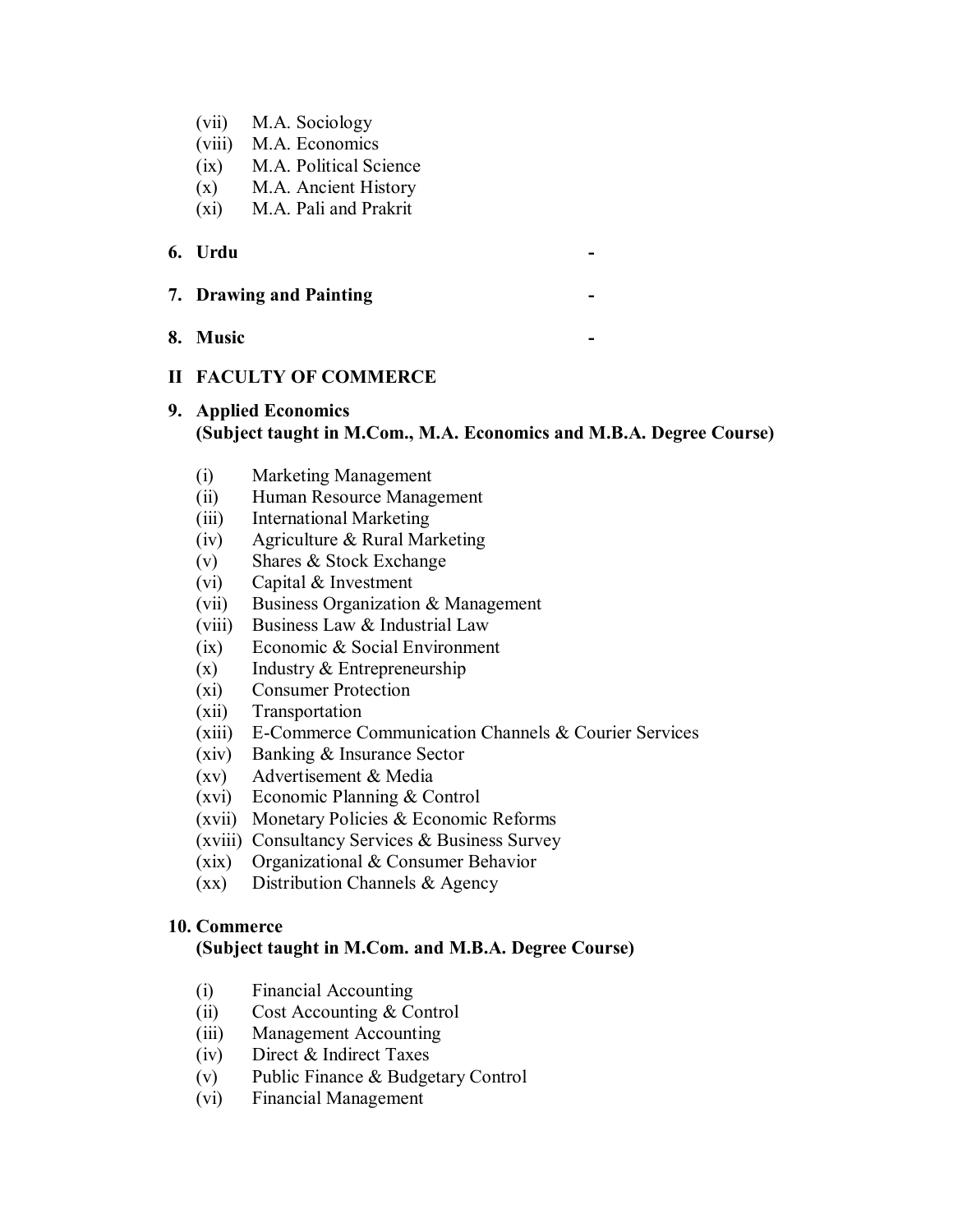- (vii) M.A. Sociology
- (viii) M.A. Economics
- (ix) M.A. Political Science
- (x) M.A. Ancient History
- (xi) M.A. Pali and Prakrit

#### **6. Urdu -**

- **7. Drawing and Painting -**
- **8. Music -**

#### **II FACULTY OF COMMERCE**

## **9. Applied Economics (Subject taught in M.Com., M.A. Economics and M.B.A. Degree Course)**

- (i) Marketing Management
- (ii) Human Resource Management
- (iii) International Marketing
- (iv) Agriculture & Rural Marketing
- (v) Shares & Stock Exchange
- (vi) Capital & Investment
- (vii) Business Organization & Management
- (viii) Business Law & Industrial Law
- (ix) Economic & Social Environment
- $(x)$  Industry & Entrepreneurship
- (xi) Consumer Protection
- (xii) Transportation
- (xiii) E-Commerce Communication Channels & Courier Services
- (xiv) Banking & Insurance Sector
- (xv) Advertisement & Media
- (xvi) Economic Planning & Control
- (xvii) Monetary Policies & Economic Reforms
- (xviii) Consultancy Services & Business Survey
- (xix) Organizational & Consumer Behavior
- (xx) Distribution Channels & Agency

#### **10. Commerce**

#### **(Subject taught in M.Com. and M.B.A. Degree Course)**

- (i) Financial Accounting
- (ii) Cost Accounting & Control
- (iii) Management Accounting
- (iv) Direct & Indirect Taxes
- (v) Public Finance & Budgetary Control
- (vi) Financial Management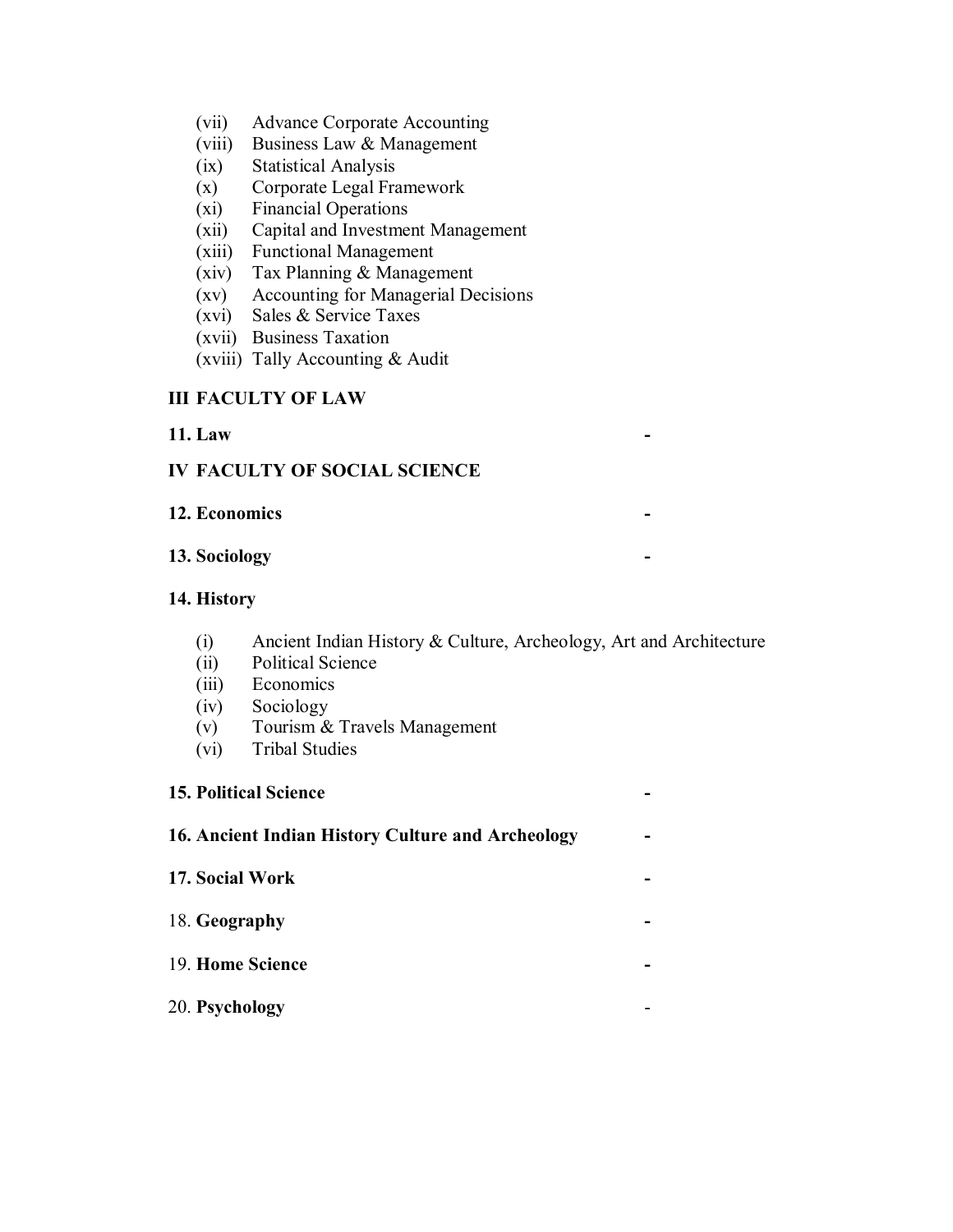- (vii) Advance Corporate Accounting
- (viii) Business Law & Management
- (ix) Statistical Analysis
- (x) Corporate Legal Framework
- (xi) Financial Operations
- (xii) Capital and Investment Management
- (xiii) Functional Management
- (xiv) Tax Planning & Management
- (xv) Accounting for Managerial Decisions
- (xvi) Sales & Service Taxes
- (xvii) Business Taxation
- (xviii) Tally Accounting & Audit

## **III FACULTY OF LAW**

#### **11. Law -**

## **IV FACULTY OF SOCIAL SCIENCE**

#### **12. Economics -**

#### **13. Sociology -**

## **14. History**

- (i) Ancient Indian History & Culture, Archeology, Art and Architecture
- (ii) Political Science
- (iii) Economics
- (iv) Sociology
- (v) Tourism & Travels Management
- (vi) Tribal Studies

#### **15. Political Science -**

# **16. Ancient Indian History Culture and Archeology -**

- **17. Social Work -**
- 18. **Geography -**
- 19. **Home Science -**
- 20. **Psychology** -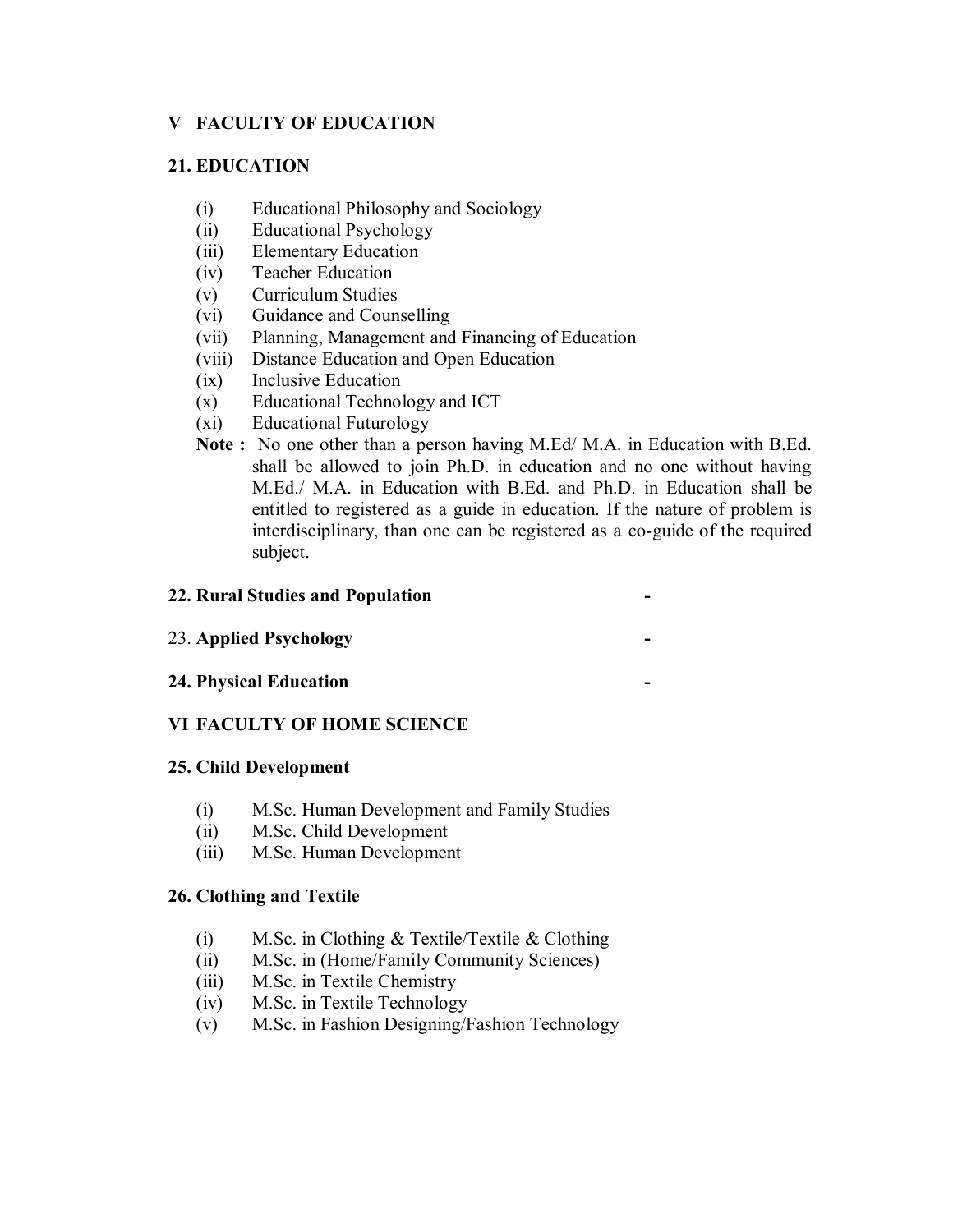## **V FACULTY OF EDUCATION**

## **21. EDUCATION**

- (i) Educational Philosophy and Sociology
- (ii) Educational Psychology
- (iii) Elementary Education
- (iv) Teacher Education
- (v) Curriculum Studies
- (vi) Guidance and Counselling
- (vii) Planning, Management and Financing of Education
- (viii) Distance Education and Open Education
- (ix) Inclusive Education
- (x) Educational Technology and ICT
- (xi) Educational Futurology
- **Note :** No one other than a person having M.Ed/ M.A. in Education with B.Ed. shall be allowed to join Ph.D. in education and no one without having M.Ed./ M.A. in Education with B.Ed. and Ph.D. in Education shall be entitled to registered as a guide in education. If the nature of problem is interdisciplinary, than one can be registered as a co-guide of the required subject.

#### **22. Rural Studies and Population -**

#### 23. **Applied Psychology -**

**24. Physical Education -**

## **VI FACULTY OF HOME SCIENCE**

#### **25. Child Development**

- (i) M.Sc. Human Development and Family Studies
- (ii) M.Sc. Child Development
- (iii) M.Sc. Human Development

#### **26. Clothing and Textile**

- (i) M.Sc. in Clothing & Textile/Textile & Clothing
- (ii) M.Sc. in (Home/Family Community Sciences)
- (iii) M.Sc. in Textile Chemistry
- (iv) M.Sc. in Textile Technology
- (v) M.Sc. in Fashion Designing/Fashion Technology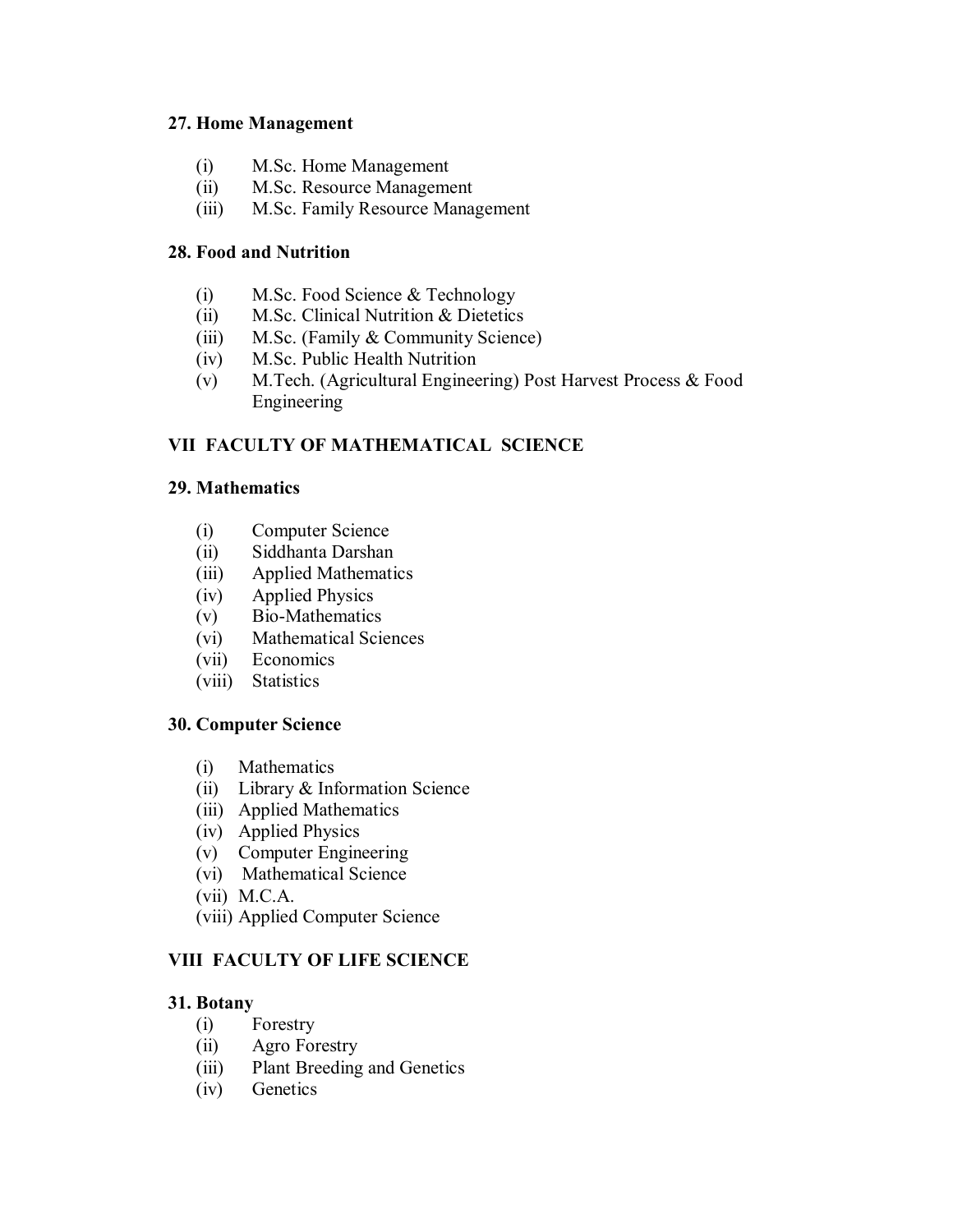#### **27. Home Management**

- (i) M.Sc. Home Management
- (ii) M.Sc. Resource Management
- (iii) M.Sc. Family Resource Management

# **28. Food and Nutrition**

- (i) M.Sc. Food Science & Technology
- (ii) M.Sc. Clinical Nutrition & Dietetics
- (iii) M.Sc. (Family & Community Science)
- (iv) M.Sc. Public Health Nutrition
- (v) M.Tech. (Agricultural Engineering) Post Harvest Process & Food Engineering

# **VII FACULTY OF MATHEMATICAL SCIENCE**

# **29. Mathematics**

- (i) Computer Science
- (ii) Siddhanta Darshan
- (iii) Applied Mathematics
- (iv) Applied Physics
- (v) Bio-Mathematics
- (vi) Mathematical Sciences
- (vii) Economics
- (viii) Statistics

## **30. Computer Science**

- (i) Mathematics
- (ii) Library & Information Science
- (iii) Applied Mathematics
- (iv) Applied Physics
- (v) Computer Engineering
- (vi) Mathematical Science
- (vii) M.C.A.
- (viii) Applied Computer Science

# **VIII FACULTY OF LIFE SCIENCE**

## **31. Botany**

- (i) Forestry
- (ii) Agro Forestry
- (iii) Plant Breeding and Genetics
- (iv) Genetics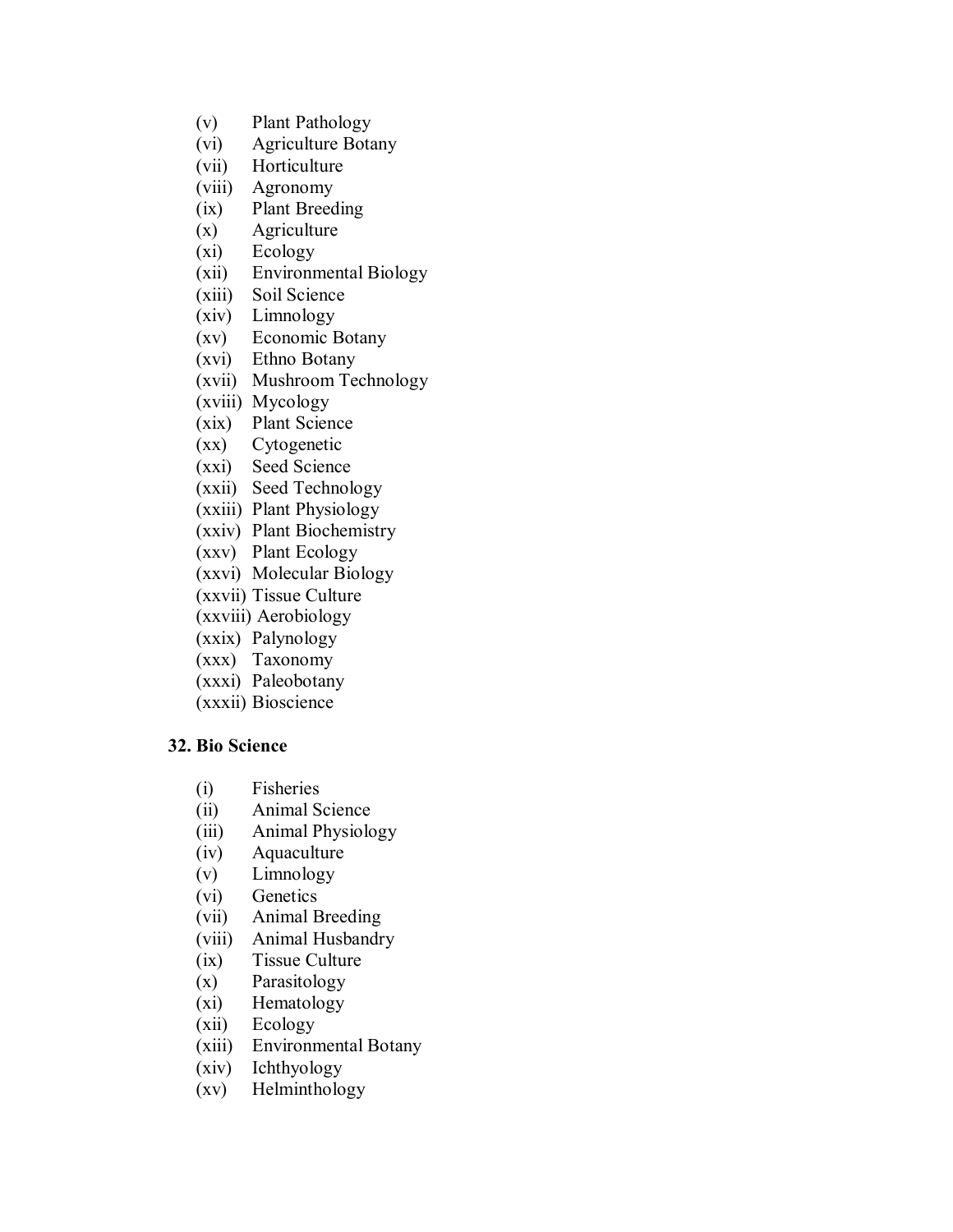- (v) Plant Pathology
- (vi) Agriculture Botany
- (vii) Horticulture
- (viii) Agronomy
- (ix) Plant Breeding
- (x) Agriculture
- (xi) Ecology
- (xii) Environmental Biology
- (xiii) Soil Science
- (xiv) Limnology
- (xv) Economic Botany
- (xvi) Ethno Botany
- (xvii) Mushroom Technology
- (xviii) Mycology
- (xix) Plant Science
- (xx) Cytogenetic
- (xxi) Seed Science
- (xxii) Seed Technology
- (xxiii) Plant Physiology
- (xxiv) Plant Biochemistry
- (xxv) Plant Ecology
- (xxvi) Molecular Biology
- (xxvii) Tissue Culture
- (xxviii) Aerobiology
- (xxix) Palynology
- (xxx) Taxonomy
- (xxxi) Paleobotany
- (xxxii) Bioscience

#### **32. Bio Science**

- (i) Fisheries
- (ii) Animal Science
- (iii) Animal Physiology
- (iv) Aquaculture
- (v) Limnology
- (vi) Genetics
- (vii) Animal Breeding
- (viii) Animal Husbandry
- (ix) Tissue Culture
- (x) Parasitology
- (xi) Hematology
- (xii) Ecology
- (xiii) Environmental Botany
- (xiv) Ichthyology
- (xv) Helminthology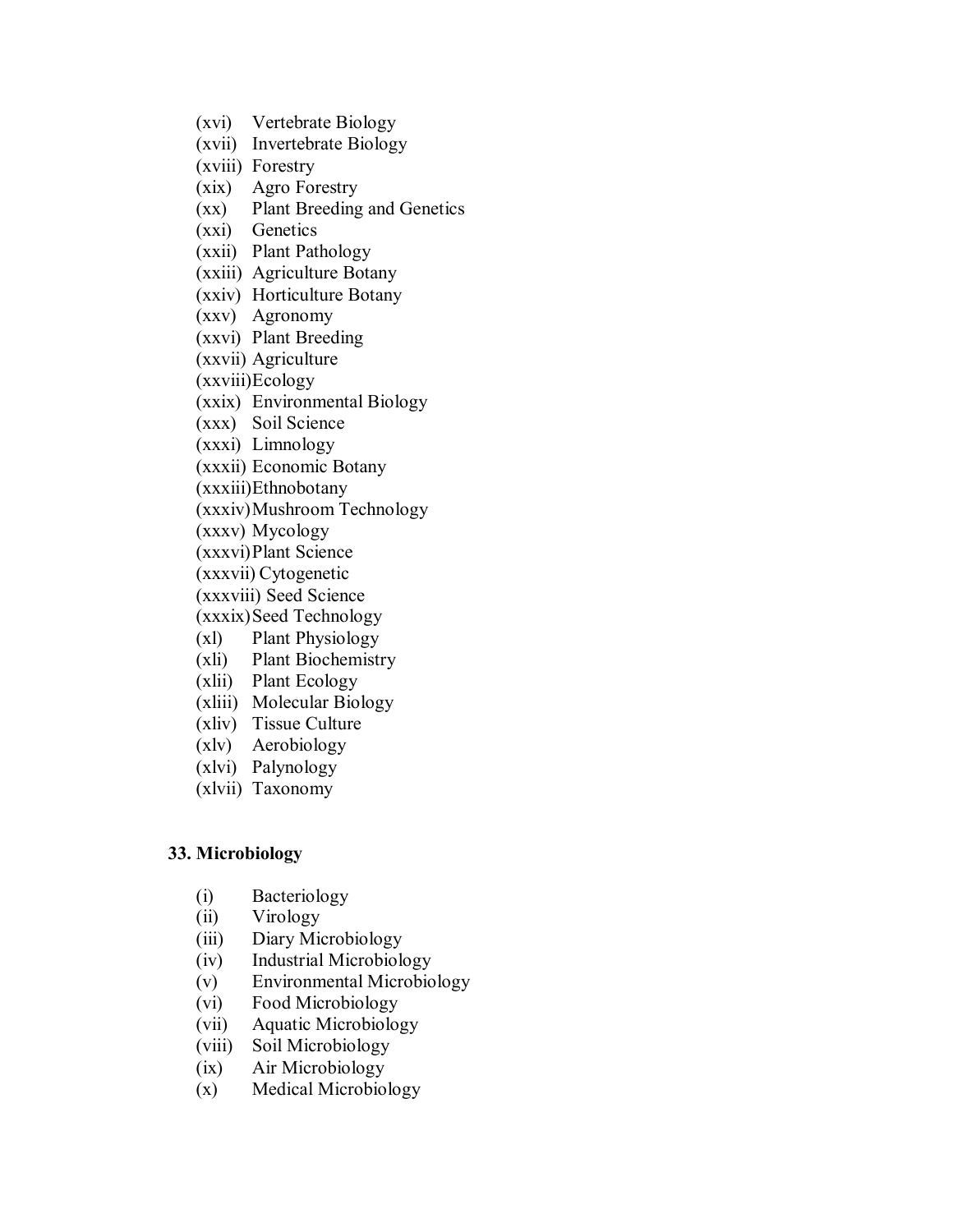- (xvi) Vertebrate Biology
- (xvii) Invertebrate Biology
- (xviii) Forestry
- (xix) Agro Forestry
- (xx) Plant Breeding and Genetics
- (xxi) Genetics
- (xxii) Plant Pathology
- (xxiii) Agriculture Botany
- (xxiv) Horticulture Botany
- (xxv) Agronomy
- (xxvi) Plant Breeding
- (xxvii) Agriculture
- (xxviii)Ecology
- (xxix) Environmental Biology
- (xxx) Soil Science
- (xxxi) Limnology
- (xxxii) Economic Botany
- (xxxiii)Ethnobotany
- (xxxiv)Mushroom Technology
- (xxxv) Mycology
- (xxxvi)Plant Science
- (xxxvii) Cytogenetic
- (xxxviii) Seed Science
- (xxxix) Seed Technology
- (xl) Plant Physiology
- (xli) Plant Biochemistry
- (xlii) Plant Ecology
- (xliii) Molecular Biology
- (xliv) Tissue Culture
- (xlv) Aerobiology
- (xlvi) Palynology
- (xlvii) Taxonomy

#### **33. Microbiology**

- (i) Bacteriology
- (ii) Virology
- (iii) Diary Microbiology
- (iv) Industrial Microbiology
- (v) Environmental Microbiology
- (vi) Food Microbiology
- (vii) Aquatic Microbiology
- (viii) Soil Microbiology
- (ix) Air Microbiology
- (x) Medical Microbiology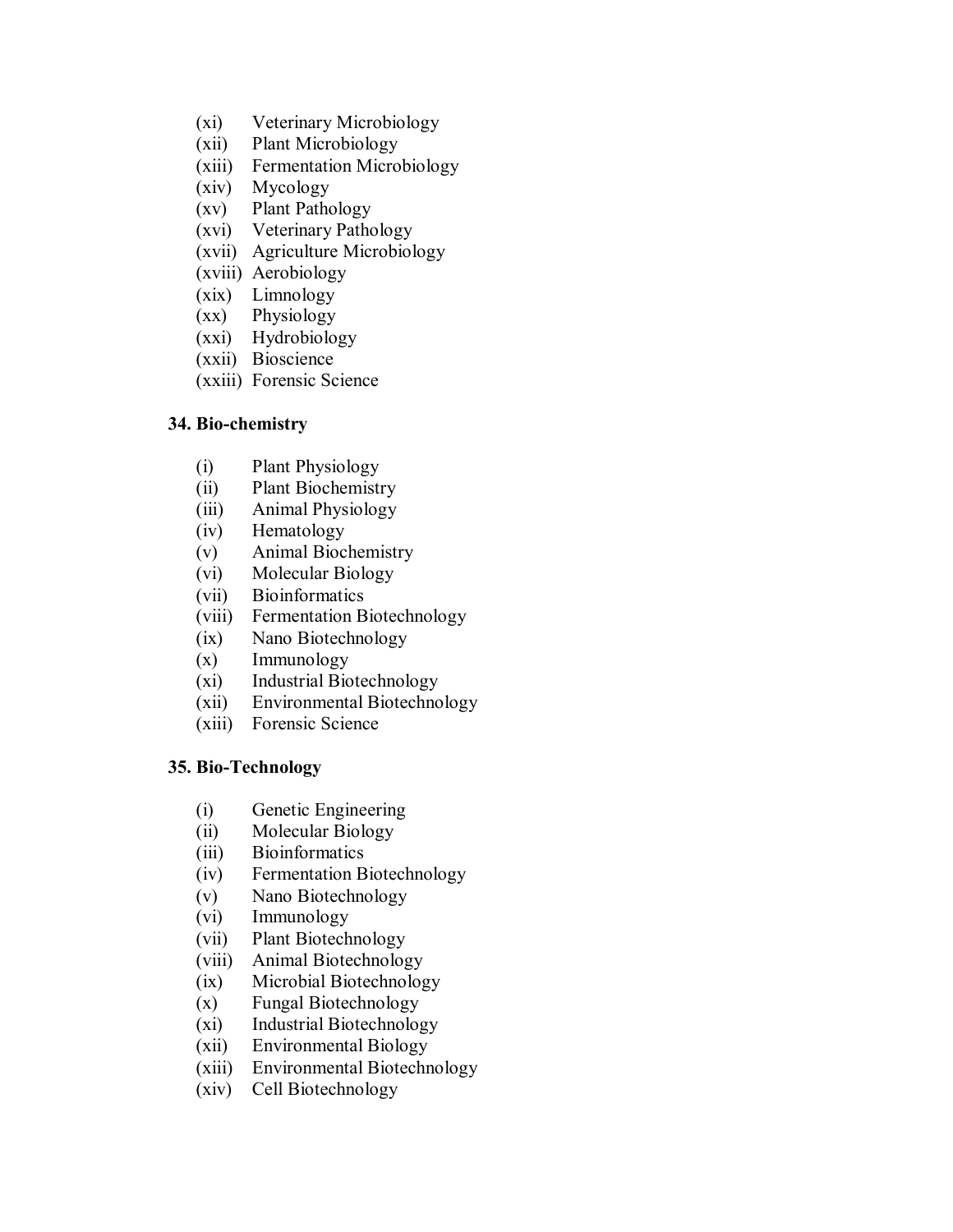- (xi) Veterinary Microbiology
- (xii) Plant Microbiology
- (xiii) Fermentation Microbiology
- (xiv) Mycology
- (xv) Plant Pathology
- (xvi) Veterinary Pathology
- (xvii) Agriculture Microbiology
- (xviii) Aerobiology
- (xix) Limnology
- (xx) Physiology
- (xxi) Hydrobiology
- (xxii) Bioscience
- (xxiii) Forensic Science

#### **34. Bio-chemistry**

- (i) Plant Physiology
- (ii) Plant Biochemistry
- (iii) Animal Physiology
- (iv) Hematology
- (v) Animal Biochemistry
- (vi) Molecular Biology
- (vii) Bioinformatics
- (viii) Fermentation Biotechnology
- (ix) Nano Biotechnology
- (x) Immunology
- (xi) Industrial Biotechnology
- (xii) Environmental Biotechnology
- (xiii) Forensic Science

#### **35. Bio-Technology**

- (i) Genetic Engineering
- (ii) Molecular Biology
- (iii) Bioinformatics
- (iv) Fermentation Biotechnology
- (v) Nano Biotechnology
- (vi) Immunology
- (vii) Plant Biotechnology
- (viii) Animal Biotechnology
- (ix) Microbial Biotechnology
- (x) Fungal Biotechnology
- (xi) Industrial Biotechnology
- (xii) Environmental Biology
- (xiii) Environmental Biotechnology
- (xiv) Cell Biotechnology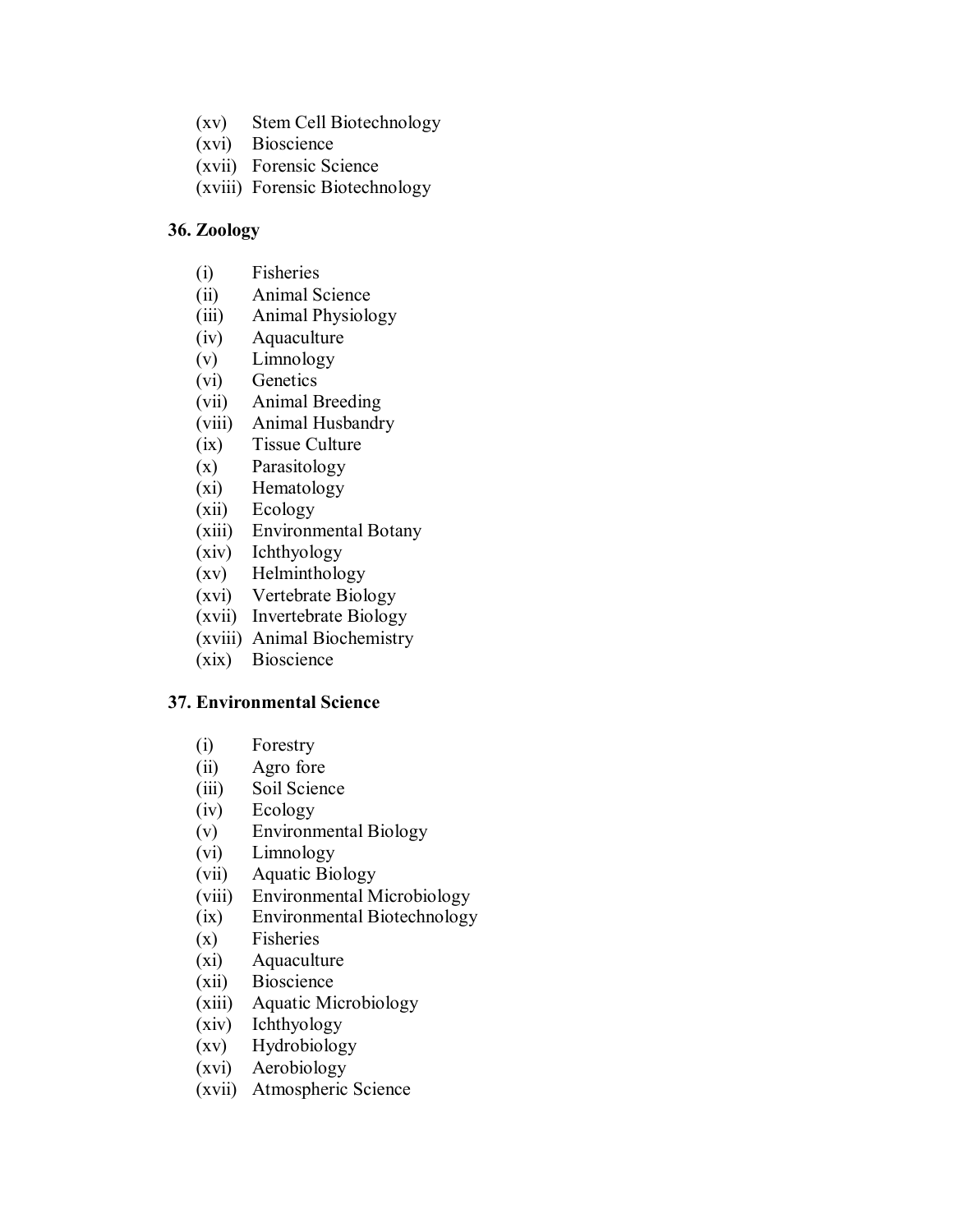- (xv) Stem Cell Biotechnology
- (xvi) Bioscience
- (xvii) Forensic Science
- (xviii) Forensic Biotechnology

#### **36. Zoology**

- (i) Fisheries
- (ii) Animal Science
- (iii) Animal Physiology
- (iv) Aquaculture
- (v) Limnology
- (vi) Genetics
- (vii) Animal Breeding
- (viii) Animal Husbandry
- (ix) Tissue Culture
- (x) Parasitology
- (xi) Hematology
- (xii) Ecology
- (xiii) Environmental Botany
- (xiv) Ichthyology
- (xv) Helminthology
- (xvi) Vertebrate Biology
- (xvii) Invertebrate Biology
- (xviii) Animal Biochemistry
- (xix) Bioscience

#### **37. Environmental Science**

- (i) Forestry
- (ii) Agro fore
- (iii) Soil Science
- (iv) Ecology
- (v) Environmental Biology
- (vi) Limnology
- (vii) Aquatic Biology
- (viii) Environmental Microbiology
- (ix) Environmental Biotechnology
- (x) Fisheries
- (xi) Aquaculture
- (xii) Bioscience
- (xiii) Aquatic Microbiology
- (xiv) Ichthyology
- (xv) Hydrobiology
- (xvi) Aerobiology
- (xvii) Atmospheric Science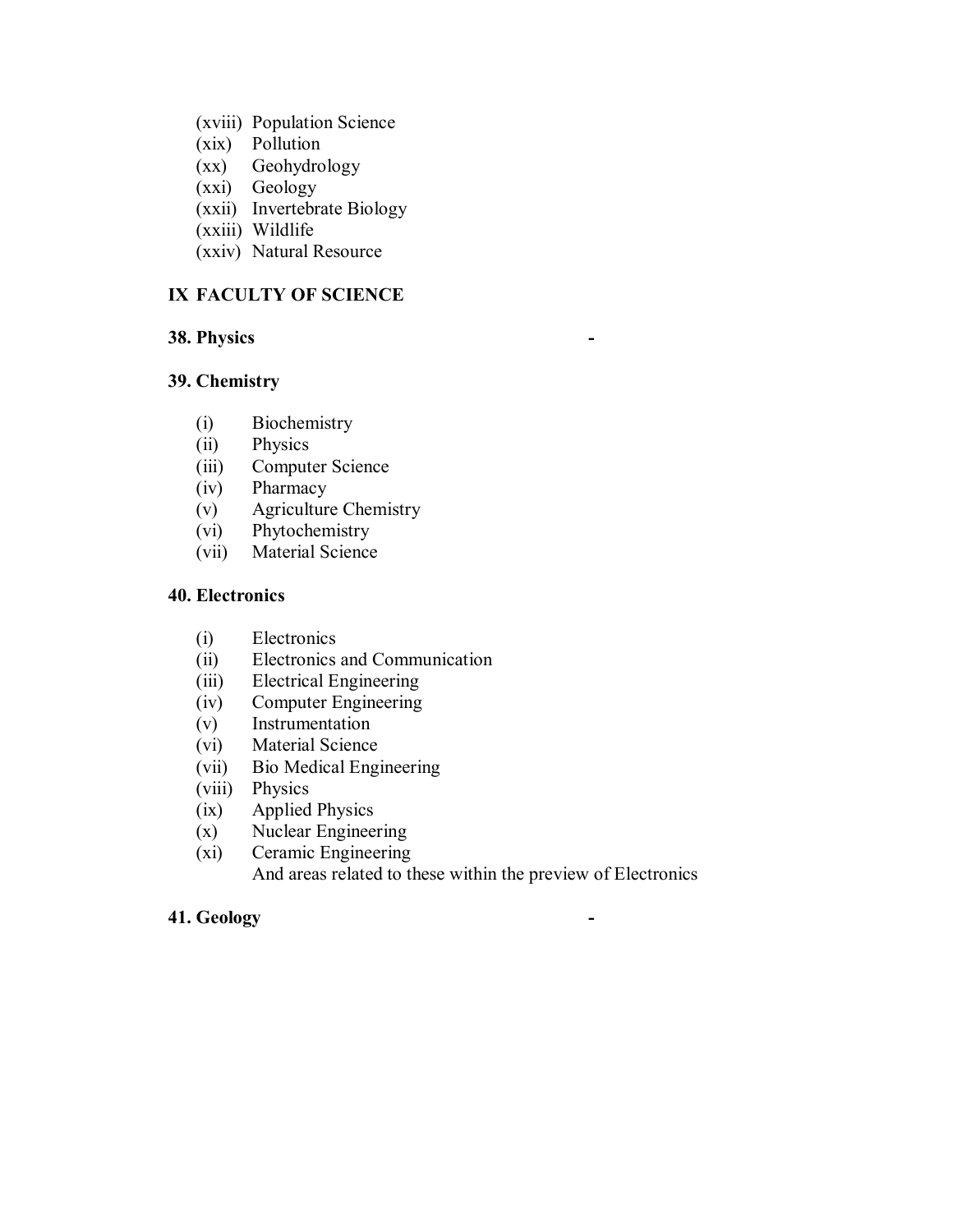- (xviii) Population Science
- (xix) Pollution
- (xx) Geohydrology
- (xxi) Geology
- (xxii) Invertebrate Biology
- (xxiii) Wildlife
- (xxiv) Natural Resource

# **IX FACULTY OF SCIENCE**

## **38. Physics -**

#### **39. Chemistry**

- (i) Biochemistry
- (ii) Physics
- (iii) Computer Science
- (iv) Pharmacy
- (v) Agriculture Chemistry
- (vi) Phytochemistry
- (vii) Material Science

#### **40. Electronics**

- (i) Electronics
- (ii) Electronics and Communication
- (iii) Electrical Engineering
- (iv) Computer Engineering
- (v) Instrumentation
- (vi) Material Science
- (vii) Bio Medical Engineering
- (viii) Physics
- (ix) Applied Physics
- (x) Nuclear Engineering
- (xi) Ceramic Engineering And areas related to these within the preview of Electronics

## **41. Geology -**